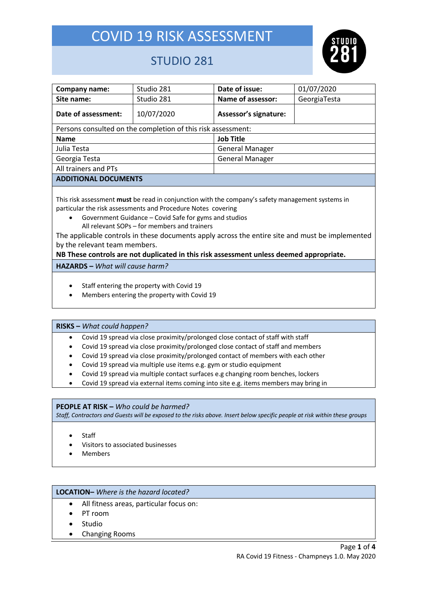

### STUDIO 281

| Company name:                                                | Studio 281 | Date of issue:         | 01/07/2020   |  |  |  |  |
|--------------------------------------------------------------|------------|------------------------|--------------|--|--|--|--|
| Site name:                                                   | Studio 281 | Name of assessor:      | GeorgiaTesta |  |  |  |  |
| Date of assessment:                                          | 10/07/2020 | Assessor's signature:  |              |  |  |  |  |
| Persons consulted on the completion of this risk assessment: |            |                        |              |  |  |  |  |
| <b>Name</b>                                                  |            | <b>Job Title</b>       |              |  |  |  |  |
| Julia Testa                                                  |            | <b>General Manager</b> |              |  |  |  |  |
| Georgia Testa                                                |            | <b>General Manager</b> |              |  |  |  |  |
| All trainers and PTs                                         |            |                        |              |  |  |  |  |
| <b>ADDITIONAL DOCUMENTS</b>                                  |            |                        |              |  |  |  |  |

This risk assessment **must** be read in conjunction with the company's safety management systems in particular the risk assessments and Procedure Notes covering

- Government Guidance Covid Safe for gyms and studios
	- All relevant SOPs for members and trainers

The applicable controls in these documents apply across the entire site and must be implemented by the relevant team members.

#### **NB These controls are not duplicated in this risk assessment unless deemed appropriate.**

**HAZARDS –** *What will cause harm?*

- Staff entering the property with Covid 19
- Members entering the property with Covid 19

#### **RISKS –** *What could happen?*

- Covid 19 spread via close proximity/prolonged close contact of staff with staff
- Covid 19 spread via close proximity/prolonged close contact of staff and members
- Covid 19 spread via close proximity/prolonged contact of members with each other
- Covid 19 spread via multiple use items e.g. gym or studio equipment
- Covid 19 spread via multiple contact surfaces e.g changing room benches, lockers
- Covid 19 spread via external items coming into site e.g. items members may bring in

#### **PEOPLE AT RISK –** *Who could be harmed?*

*Staff, Contractors and Guests will be exposed to the risks above. Insert below specific people at risk within these groups*

- **Staff**
- Visitors to associated businesses
- Members

#### **LOCATION–** *Where is the hazard located?*

- All fitness areas, particular focus on:
- PT room
- **Studio**
- Changing Rooms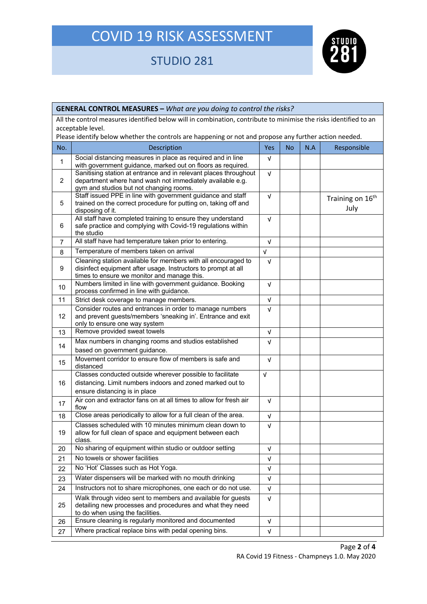## STUDIO 281



|                   | <b>GENERAL CONTROL MEASURES - What are you doing to control the risks?</b>                                                                                                    |            |           |     |                                      |  |
|-------------------|-------------------------------------------------------------------------------------------------------------------------------------------------------------------------------|------------|-----------|-----|--------------------------------------|--|
|                   | All the control measures identified below will in combination, contribute to minimise the risks identified to an                                                              |            |           |     |                                      |  |
| acceptable level. |                                                                                                                                                                               |            |           |     |                                      |  |
|                   | Please identify below whether the controls are happening or not and propose any further action needed.                                                                        |            |           |     |                                      |  |
| No.               | Description                                                                                                                                                                   | Yes        | <b>No</b> | N.A | Responsible                          |  |
| $\mathbf{1}$      | Social distancing measures in place as required and in line<br>with government guidance, marked out on floors as required.                                                    | V          |           |     |                                      |  |
| $\overline{2}$    | Sanitising station at entrance and in relevant places throughout<br>department where hand wash not immediately available e.g.<br>gym and studios but not changing rooms.      | $\sqrt{ }$ |           |     |                                      |  |
| 5                 | Staff issued PPE in line with government guidance and staff<br>trained on the correct procedure for putting on, taking off and<br>disposing of it.                            | V          |           |     | Training on 16 <sup>th</sup><br>July |  |
| 6                 | All staff have completed training to ensure they understand<br>safe practice and complying with Covid-19 regulations within<br>the studio                                     | V          |           |     |                                      |  |
| $\overline{7}$    | All staff have had temperature taken prior to entering.                                                                                                                       | V          |           |     |                                      |  |
| 8                 | Temperature of members taken on arrival                                                                                                                                       | $\sqrt{ }$ |           |     |                                      |  |
| 9                 | Cleaning station available for members with all encouraged to<br>disinfect equipment after usage. Instructors to prompt at all<br>times to ensure we monitor and manage this. | V          |           |     |                                      |  |
| 10 <sup>1</sup>   | Numbers limited in line with government guidance. Booking<br>process confirmed in line with guidance.                                                                         | V          |           |     |                                      |  |
| 11                | Strict desk coverage to manage members.                                                                                                                                       | $\sqrt{ }$ |           |     |                                      |  |
| 12                | Consider routes and entrances in order to manage numbers<br>V<br>and prevent guests/members 'sneaking in'. Entrance and exit<br>only to ensure one way system                 |            |           |     |                                      |  |
| 13                | Remove provided sweat towels<br>V                                                                                                                                             |            |           |     |                                      |  |
| 14                | Max numbers in changing rooms and studios established<br>$\sqrt{ }$<br>based on government guidance.                                                                          |            |           |     |                                      |  |
| 15                | Movement corridor to ensure flow of members is safe and<br>V<br>distanced                                                                                                     |            |           |     |                                      |  |
| 16                | Classes conducted outside wherever possible to facilitate<br>distancing. Limit numbers indoors and zoned marked out to<br>ensure distancing is in place                       | V          |           |     |                                      |  |
| 17                | Air con and extractor fans on at all times to allow for fresh air<br>flow                                                                                                     | $\sqrt{ }$ |           |     |                                      |  |
| 18                | Close areas periodically to allow for a full clean of the area.<br>$\sqrt{ }$                                                                                                 |            |           |     |                                      |  |
| 19                | Classes scheduled with 10 minutes minimum clean down to<br>ν<br>allow for full clean of space and equipment between each<br>class.                                            |            |           |     |                                      |  |
| 20                | No sharing of equipment within studio or outdoor setting<br>V                                                                                                                 |            |           |     |                                      |  |
| 21                | No towels or shower facilities<br>V                                                                                                                                           |            |           |     |                                      |  |
| 22                | No 'Hot' Classes such as Hot Yoga.<br>V                                                                                                                                       |            |           |     |                                      |  |
| 23                | Water dispensers will be marked with no mouth drinking                                                                                                                        | V          |           |     |                                      |  |
| 24                | Instructors not to share microphones, one each or do not use.                                                                                                                 | V          |           |     |                                      |  |
| 25                | Walk through video sent to members and available for guests<br>detailing new processes and procedures and what they need<br>to do when using the facilities.                  | V          |           |     |                                      |  |
| 26                | Ensure cleaning is regularly monitored and documented                                                                                                                         | V          |           |     |                                      |  |
| 27                | Where practical replace bins with pedal opening bins.<br>V                                                                                                                    |            |           |     |                                      |  |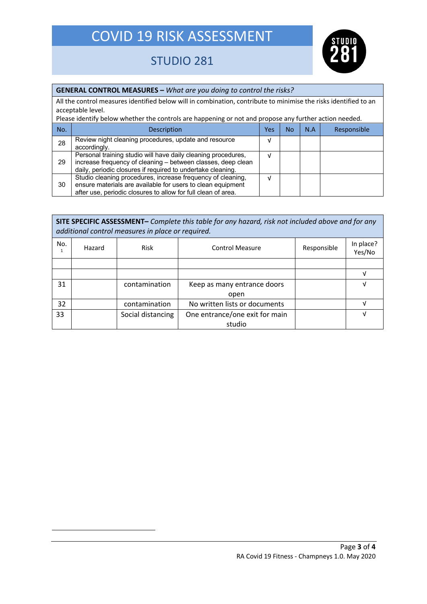

### STUDIO 281

### **GENERAL CONTROL MEASURES –** *What are you doing to control the risks?*

All the control measures identified below will in combination, contribute to minimise the risks identified to an acceptable level.

| Please identify below whether the controls are happening or not and propose any further action needed. |                                                                                                                                                                                              |  |    |     |             |
|--------------------------------------------------------------------------------------------------------|----------------------------------------------------------------------------------------------------------------------------------------------------------------------------------------------|--|----|-----|-------------|
| No.                                                                                                    | Description                                                                                                                                                                                  |  | No | N.A | Responsible |
| 28                                                                                                     | Review night cleaning procedures, update and resource<br>accordingly.                                                                                                                        |  |    |     |             |
| 29                                                                                                     | Personal training studio will have daily cleaning procedures,<br>increase frequency of cleaning - between classes, deep clean<br>daily, periodic closures if required to undertake cleaning. |  |    |     |             |
| 30                                                                                                     | Studio cleaning procedures, increase frequency of cleaning,<br>ensure materials are available for users to clean equipment<br>after use, periodic closures to allow for full clean of area.  |  |    |     |             |

|     | SITE SPECIFIC ASSESSMENT- Complete this table for any hazard, risk not included above and for any<br>additional control measures in place or required. |                   |                                       |  |                     |  |
|-----|--------------------------------------------------------------------------------------------------------------------------------------------------------|-------------------|---------------------------------------|--|---------------------|--|
| No. | Hazard                                                                                                                                                 | Risk              | <b>Control Measure</b><br>Responsible |  | In place?<br>Yes/No |  |
|     |                                                                                                                                                        |                   |                                       |  |                     |  |
|     |                                                                                                                                                        |                   |                                       |  | v                   |  |
| 31  |                                                                                                                                                        | contamination     | Keep as many entrance doors           |  | v                   |  |
|     |                                                                                                                                                        |                   | open                                  |  |                     |  |
| 32  |                                                                                                                                                        | contamination     | No written lists or documents         |  | ν                   |  |
| 33  |                                                                                                                                                        | Social distancing | One entrance/one exit for main        |  | V                   |  |
|     |                                                                                                                                                        |                   | studio                                |  |                     |  |